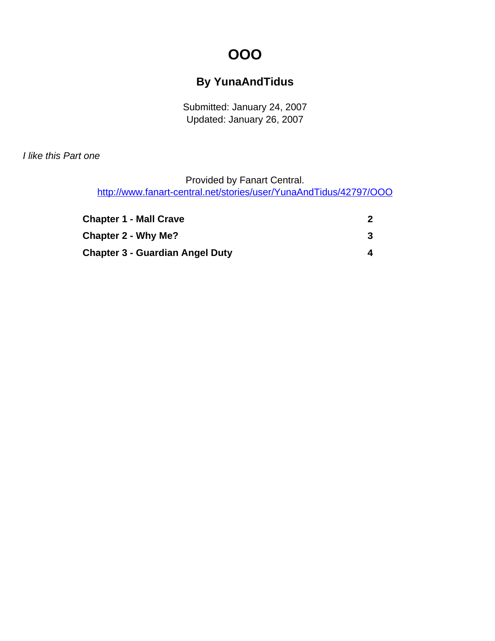# **OOO**

#### **By YunaAndTidus**

Submitted: January 24, 2007 Updated: January 26, 2007

<span id="page-0-0"></span>I like this Part one

Provided by Fanart Central.

[http://www.fanart-central.net/stories/user/YunaAndTidus/42797/OOO](#page-0-0)

| <b>Chapter 1 - Mall Crave</b>   |   |
|---------------------------------|---|
| <b>Chapter 2 - Why Me?</b>      |   |
| Chapter 3 - Guardian Angel Duty | 4 |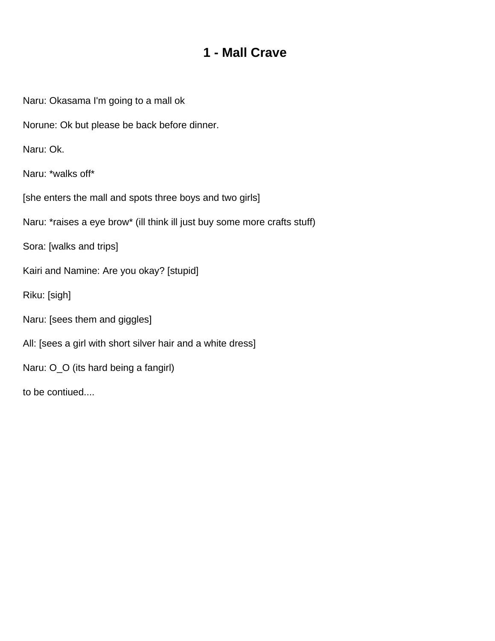### **1 - Mall Crave**

<span id="page-1-0"></span>Naru: Okasama I'm going to a mall ok

Norune: Ok but please be back before dinner.

Naru: Ok.

Naru: \*walks off\*

[she enters the mall and spots three boys and two girls]

Naru: \*raises a eye brow\* (ill think ill just buy some more crafts stuff)

Sora: [walks and trips]

Kairi and Namine: Are you okay? [stupid]

Riku: [sigh]

Naru: [sees them and giggles]

All: [sees a girl with short silver hair and a white dress]

Naru: O\_O (its hard being a fangirl)

to be contiued....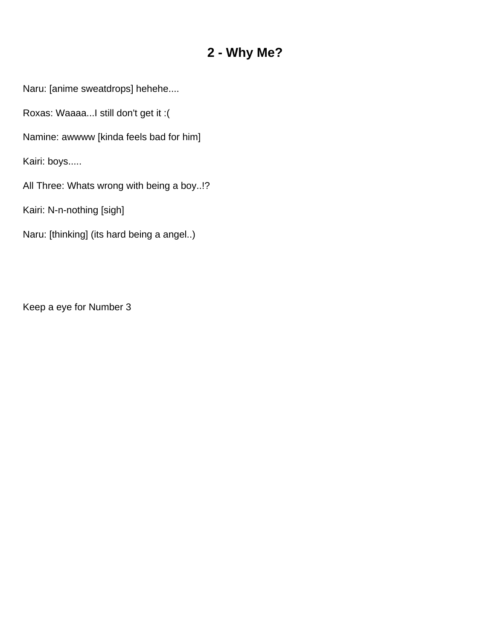### **2 - Why Me?**

<span id="page-2-0"></span>Naru: [anime sweatdrops] hehehe....

Roxas: Waaaa...I still don't get it :(

Namine: awwww [kinda feels bad for him]

Kairi: boys.....

All Three: Whats wrong with being a boy..!?

Kairi: N-n-nothing [sigh]

Naru: [thinking] (its hard being a angel..)

Keep a eye for Number 3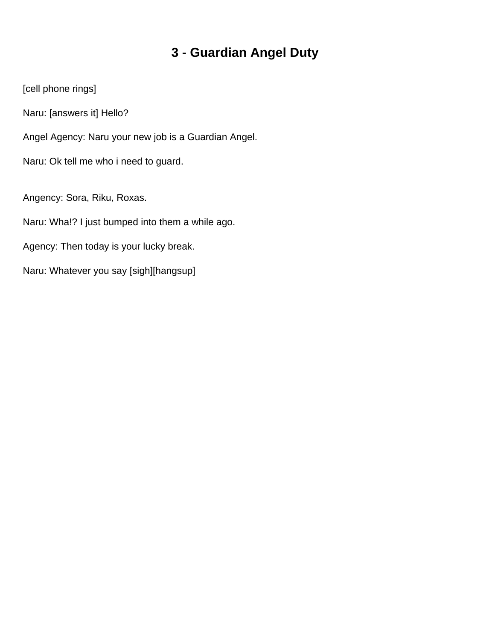# **3 - Guardian Angel Duty**

<span id="page-3-0"></span>[cell phone rings]

Naru: [answers it] Hello?

Angel Agency: Naru your new job is a Guardian Angel.

Naru: Ok tell me who i need to guard.

Angency: Sora, Riku, Roxas.

Naru: Wha!? I just bumped into them a while ago.

Agency: Then today is your lucky break.

Naru: Whatever you say [sigh][hangsup]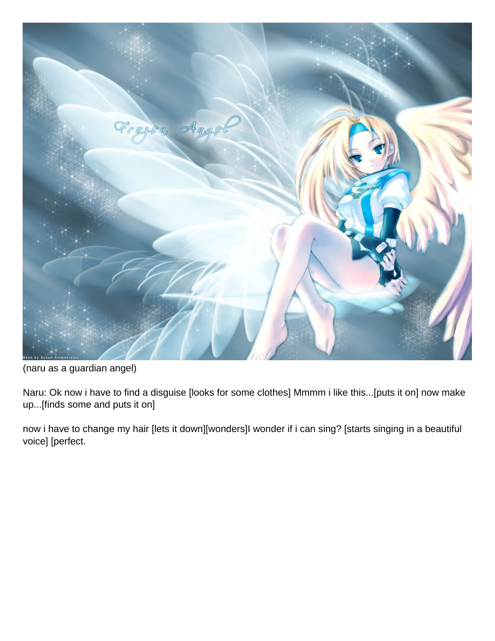

(naru as a guardian angel)

Naru: Ok now i have to find a disguise [looks for some clothes] Mmmm i like this...[puts it on] now make up...[finds some and puts it on]

now i have to change my hair [lets it down][wonders]I wonder if i can sing? [starts singing in a beautiful voice] [perfect.